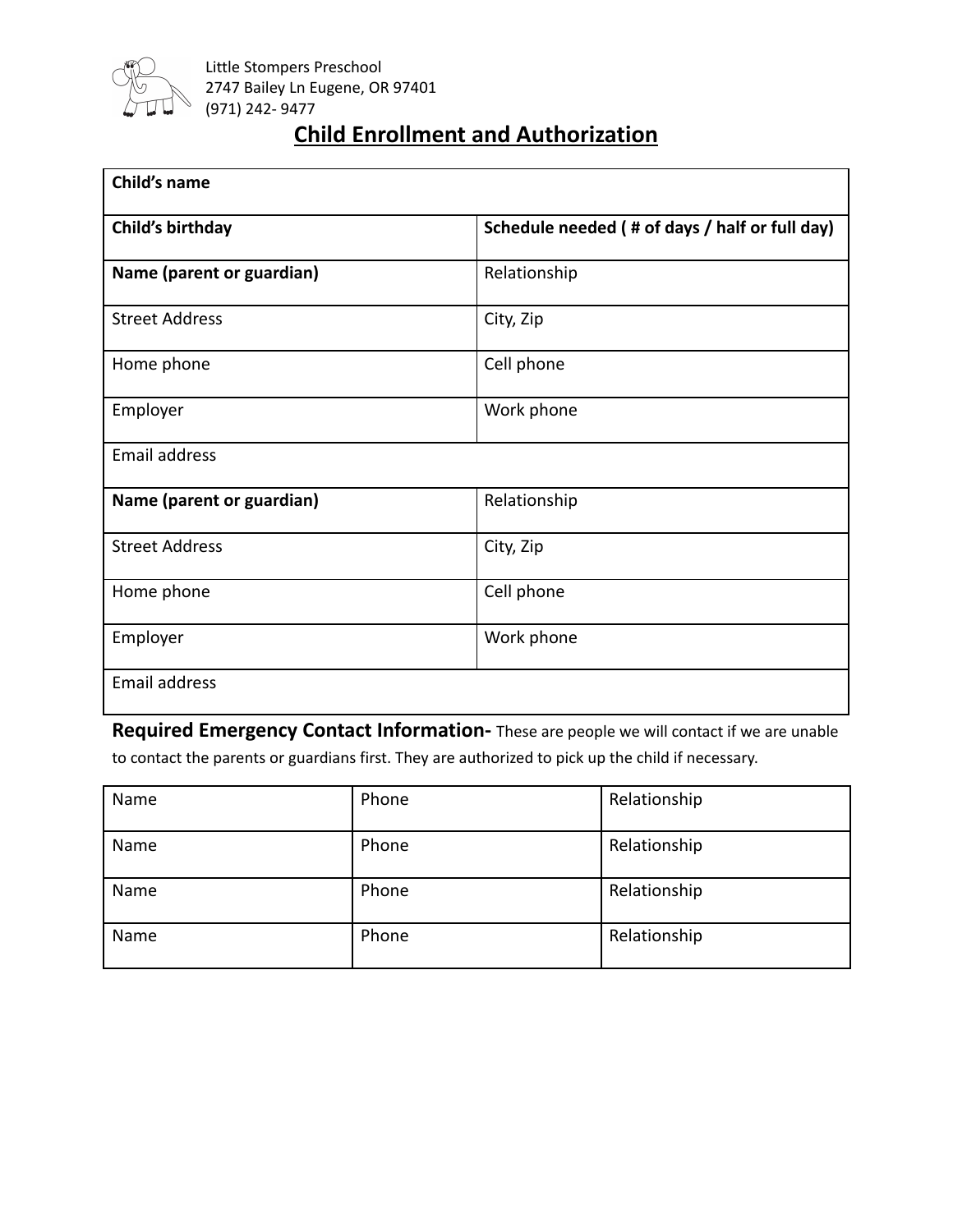

## **Child Enrollment and Authorization**

| Child's name              |                                                |  |
|---------------------------|------------------------------------------------|--|
| Child's birthday          | Schedule needed (# of days / half or full day) |  |
| Name (parent or guardian) | Relationship                                   |  |
| <b>Street Address</b>     | City, Zip                                      |  |
| Home phone                | Cell phone                                     |  |
| Employer                  | Work phone                                     |  |
| Email address             |                                                |  |
| Name (parent or guardian) | Relationship                                   |  |
| <b>Street Address</b>     | City, Zip                                      |  |
| Home phone                | Cell phone                                     |  |
| Employer                  | Work phone                                     |  |
| <b>Email address</b>      |                                                |  |

**Required Emergency Contact Information-** These are people we will contact if we are unable to contact the parents or guardians first. They are authorized to pick up the child if necessary.

| Name | Phone | Relationship |
|------|-------|--------------|
| Name | Phone | Relationship |
| Name | Phone | Relationship |
| Name | Phone | Relationship |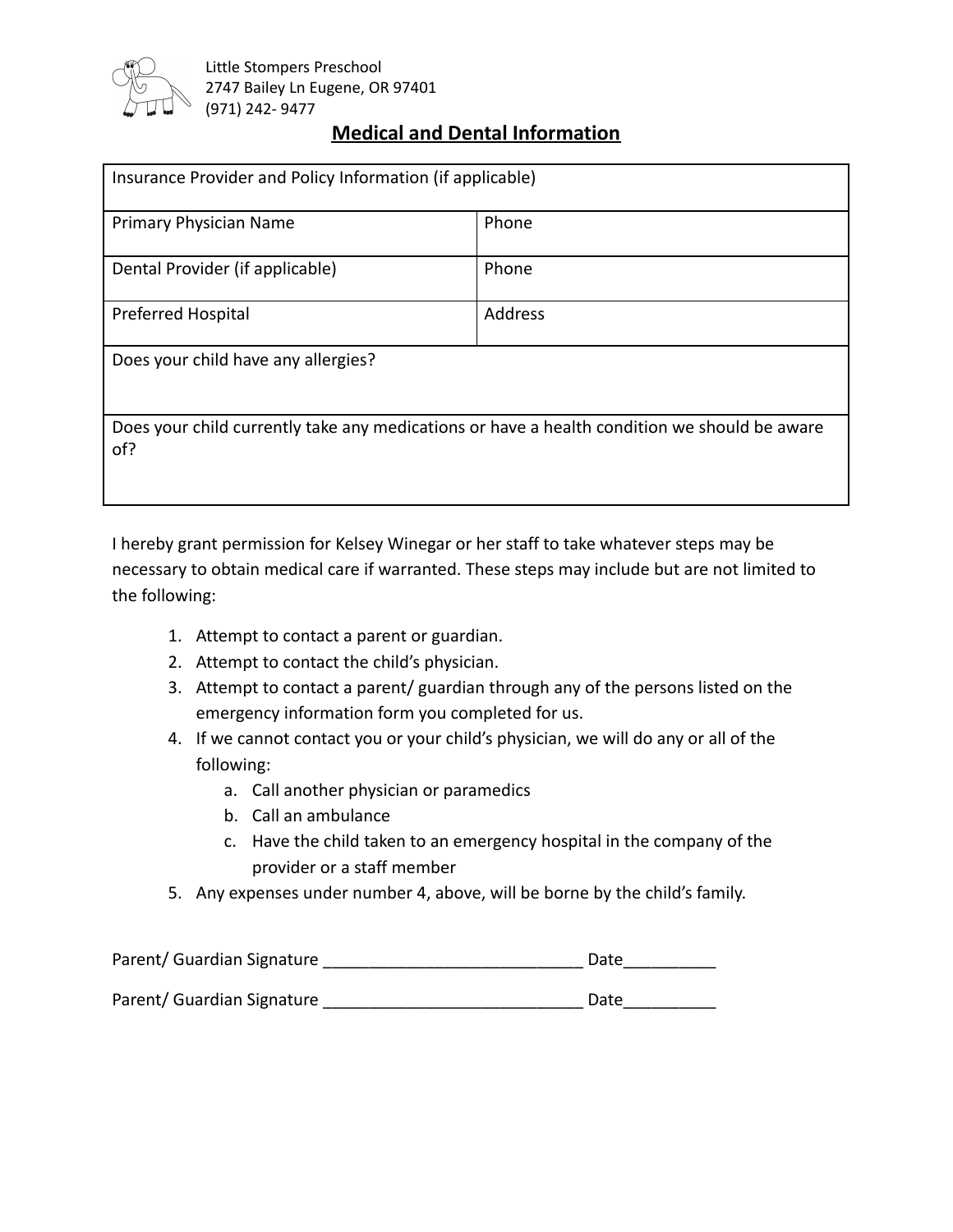

## **Medical and Dental Information**

| Insurance Provider and Policy Information (if applicable)                                           |                |  |
|-----------------------------------------------------------------------------------------------------|----------------|--|
| Primary Physician Name                                                                              | Phone          |  |
| Dental Provider (if applicable)                                                                     | Phone          |  |
| <b>Preferred Hospital</b>                                                                           | <b>Address</b> |  |
| Does your child have any allergies?                                                                 |                |  |
| Does your child currently take any medications or have a health condition we should be aware<br>of? |                |  |

I hereby grant permission for Kelsey Winegar or her staff to take whatever steps may be necessary to obtain medical care if warranted. These steps may include but are not limited to the following:

- 1. Attempt to contact a parent or guardian.
- 2. Attempt to contact the child's physician.
- 3. Attempt to contact a parent/ guardian through any of the persons listed on the emergency information form you completed for us.
- 4. If we cannot contact you or your child's physician, we will do any or all of the following:
	- a. Call another physician or paramedics
	- b. Call an ambulance
	- c. Have the child taken to an emergency hospital in the company of the provider or a staff member
- 5. Any expenses under number 4, above, will be borne by the child's family.

| Parent/ Guardian Signature | Date |
|----------------------------|------|
|                            |      |
| Parent/ Guardian Signature | Date |